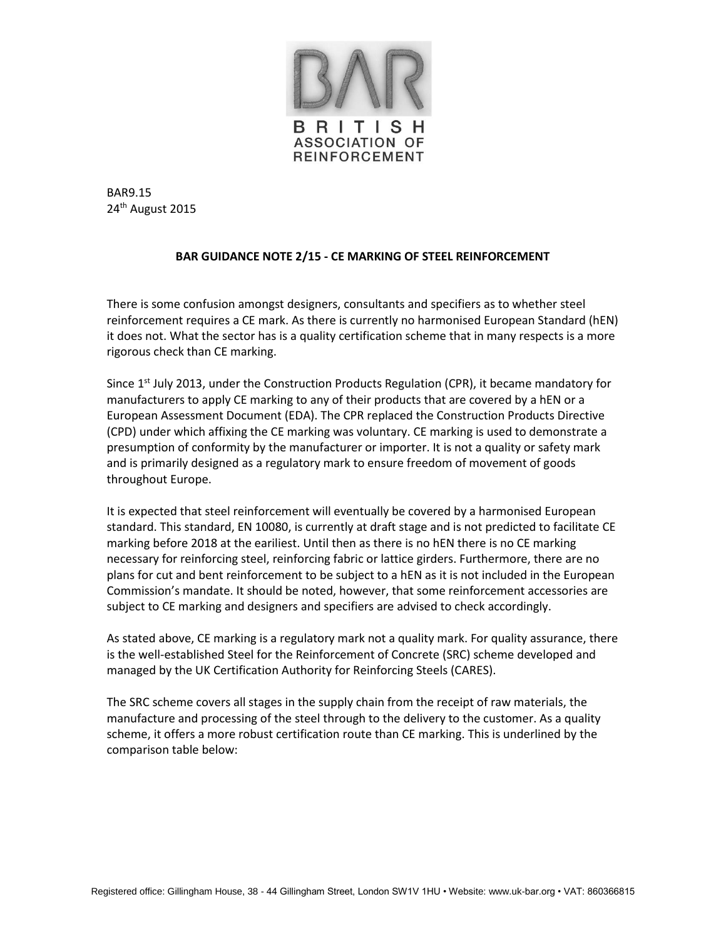

BAR9.15 24<sup>th</sup> August 2015

## **BAR GUIDANCE NOTE 2/15 - CE MARKING OF STEEL REINFORCEMENT**

There is some confusion amongst designers, consultants and specifiers as to whether steel reinforcement requires a CE mark. As there is currently no harmonised European Standard (hEN) it does not. What the sector has is a quality certification scheme that in many respects is a more rigorous check than CE marking.

Since  $1<sup>st</sup>$  July 2013, under the Construction Products Regulation (CPR), it became mandatory for manufacturers to apply CE marking to any of their products that are covered by a hEN or a European Assessment Document (EDA). The CPR replaced the Construction Products Directive (CPD) under which affixing the CE marking was voluntary. CE marking is used to demonstrate a presumption of conformity by the manufacturer or importer. It is not a quality or safety mark and is primarily designed as a regulatory mark to ensure freedom of movement of goods throughout Europe.

It is expected that steel reinforcement will eventually be covered by a harmonised European standard. This standard, EN 10080, is currently at draft stage and is not predicted to facilitate CE marking before 2018 at the eariliest. Until then as there is no hEN there is no CE marking necessary for reinforcing steel, reinforcing fabric or lattice girders. Furthermore, there are no plans for cut and bent reinforcement to be subject to a hEN as it is not included in the European Commission's mandate. It should be noted, however, that some reinforcement accessories are subject to CE marking and designers and specifiers are advised to check accordingly.

As stated above, CE marking is a regulatory mark not a quality mark. For quality assurance, there is the well-established Steel for the Reinforcement of Concrete (SRC) scheme developed and managed by the UK Certification Authority for Reinforcing Steels (CARES).

The SRC scheme covers all stages in the supply chain from the receipt of raw materials, the manufacture and processing of the steel through to the delivery to the customer. As a quality scheme, it offers a more robust certification route than CE marking. This is underlined by the comparison table below: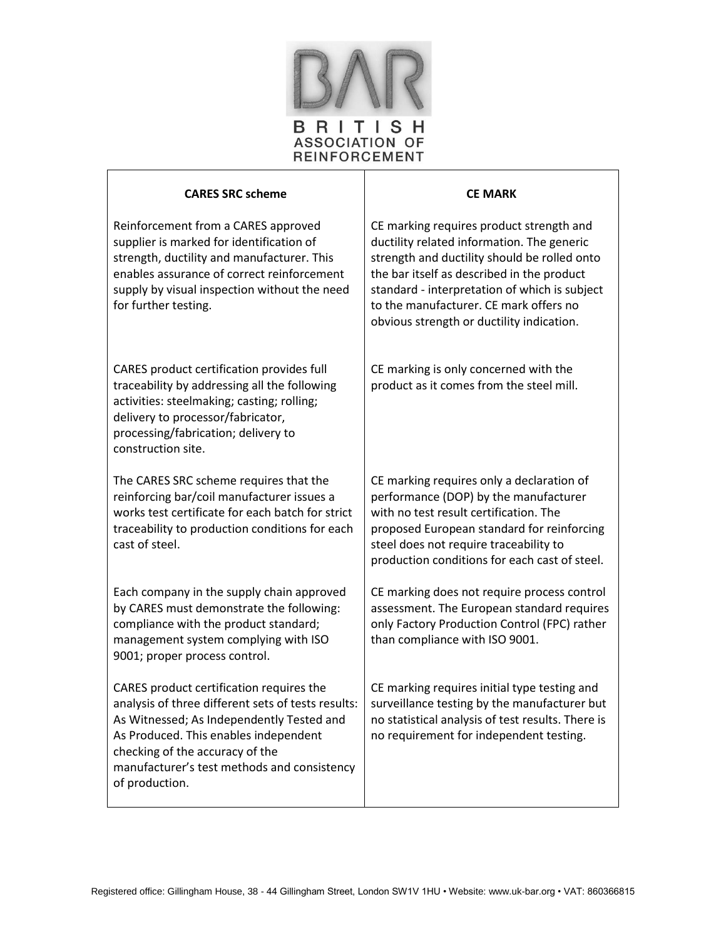

## **CARES SRC scheme**

Reinforcement from a CARES approved supplier is marked for identification of strength, ductility and manufacturer. This enables assurance of correct reinforcement supply by visual inspection without the need for further testing.

CARES product certification provides full traceability by addressing all the following activities: steelmaking; casting; rolling; delivery to processor/fabricator, processing/fabrication; delivery to construction site.

The CARES SRC scheme requires that the reinforcing bar/coil manufacturer issues a works test certificate for each batch for strict traceability to production conditions for each cast of steel.

Each company in the supply chain approved by CARES must demonstrate the following: compliance with the product standard; management system complying with ISO 9001; proper process control.

CARES product certification requires the analysis of three different sets of tests results: As Witnessed; As Independently Tested and As Produced. This enables independent checking of the accuracy of the manufacturer's test methods and consistency of production.

## **CE MARK**

CE marking requires product strength and ductility related information. The generic strength and ductility should be rolled onto the bar itself as described in the product standard - interpretation of which is subject to the manufacturer. CE mark offers no obvious strength or ductility indication.

CE marking is only concerned with the product as it comes from the steel mill.

CE marking requires only a declaration of performance (DOP) by the manufacturer with no test result certification. The proposed European standard for reinforcing steel does not require traceability to production conditions for each cast of steel.

CE marking does not require process control assessment. The European standard requires only Factory Production Control (FPC) rather than compliance with ISO 9001.

CE marking requires initial type testing and surveillance testing by the manufacturer but no statistical analysis of test results. There is no requirement for independent testing.